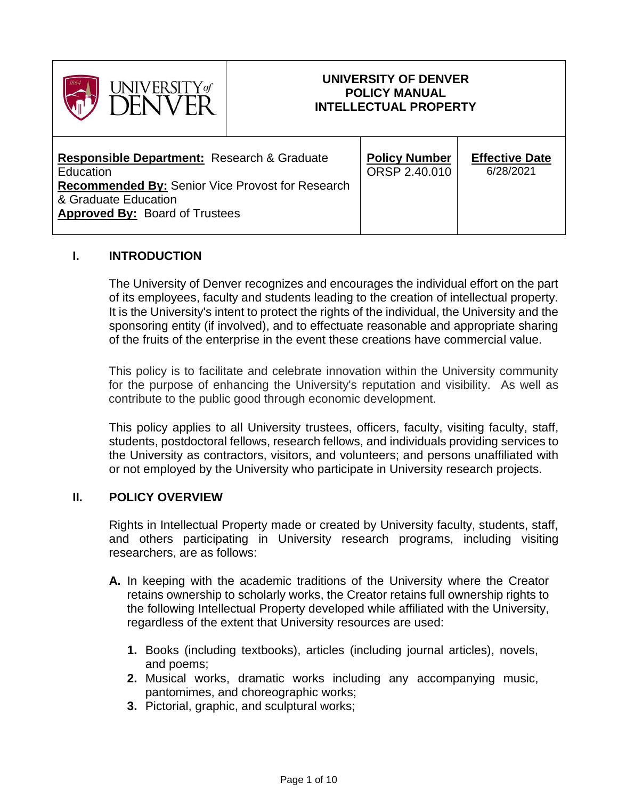

## **UNIVERSITY OF DENVER POLICY MANUAL INTELLECTUAL PROPERTY**

┬

### **I. INTRODUCTION**

The University of Denver recognizes and encourages the individual effort on the part of its employees, faculty and students leading to the creation of intellectual property. It is the University's intent to protect the rights of the individual, the University and the sponsoring entity (if involved), and to effectuate reasonable and appropriate sharing of the fruits of the enterprise in the event these creations have commercial value.

This policy is to facilitate and celebrate innovation within the University community for the purpose of enhancing the University's reputation and visibility. As well as contribute to the public good through economic development.

This policy applies to all University trustees, officers, faculty, visiting faculty, staff, students, postdoctoral fellows, research fellows, and individuals providing services to the University as contractors, visitors, and volunteers; and persons unaffiliated with or not employed by the University who participate in University research projects.

#### **II. POLICY OVERVIEW**

Rights in Intellectual Property made or created by University faculty, students, staff, and others participating in University research programs, including visiting researchers, are as follows:

- **A.** In keeping with the academic traditions of the University where the Creator retains ownership to scholarly works, the Creator retains full ownership rights to the following Intellectual Property developed while affiliated with the University, regardless of the extent that University resources are used:
	- **1.** Books (including textbooks), articles (including journal articles), novels, and poems;
	- **2.** Musical works, dramatic works including any accompanying music, pantomimes, and choreographic works;
	- **3.** Pictorial, graphic, and sculptural works;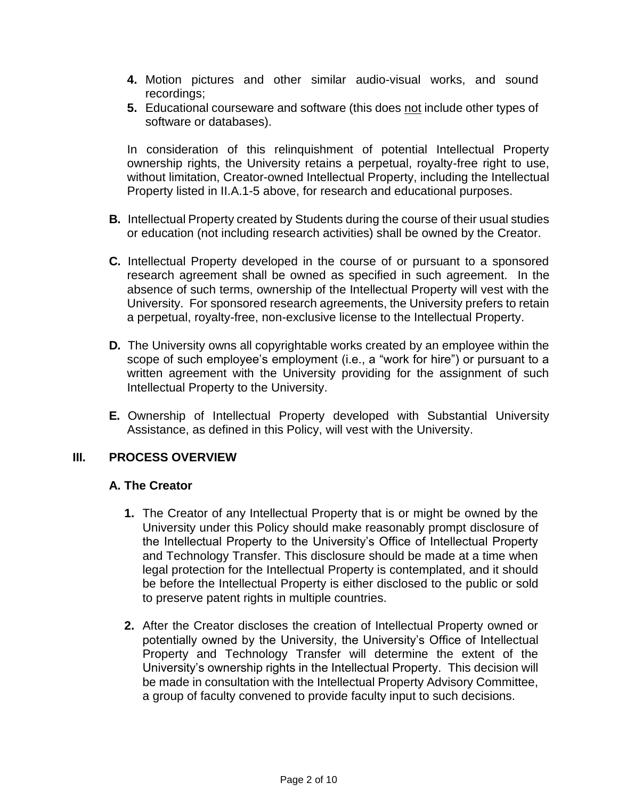- **4.** Motion pictures and other similar audio-visual works, and sound recordings;
- **5.** Educational courseware and software (this does not include other types of software or databases).

In consideration of this relinquishment of potential Intellectual Property ownership rights, the University retains a perpetual, royalty-free right to use, without limitation, Creator-owned Intellectual Property, including the Intellectual Property listed in II.A.1-5 above, for research and educational purposes.

- **B.** Intellectual Property created by Students during the course of their usual studies or education (not including research activities) shall be owned by the Creator.
- **C.** Intellectual Property developed in the course of or pursuant to a sponsored research agreement shall be owned as specified in such agreement. In the absence of such terms, ownership of the Intellectual Property will vest with the University. For sponsored research agreements, the University prefers to retain a perpetual, royalty-free, non-exclusive license to the Intellectual Property.
- **D.** The University owns all copyrightable works created by an employee within the scope of such employee's employment (i.e., a "work for hire") or pursuant to a written agreement with the University providing for the assignment of such Intellectual Property to the University.
- **E.** Ownership of Intellectual Property developed with Substantial University Assistance, as defined in this Policy, will vest with the University.

### **III. PROCESS OVERVIEW**

#### **A. The Creator**

- **1.** The Creator of any Intellectual Property that is or might be owned by the University under this Policy should make reasonably prompt disclosure of the Intellectual Property to the University's Office of Intellectual Property and Technology Transfer. This disclosure should be made at a time when legal protection for the Intellectual Property is contemplated, and it should be before the Intellectual Property is either disclosed to the public or sold to preserve patent rights in multiple countries.
- **2.** After the Creator discloses the creation of Intellectual Property owned or potentially owned by the University, the University's Office of Intellectual Property and Technology Transfer will determine the extent of the University's ownership rights in the Intellectual Property. This decision will be made in consultation with the Intellectual Property Advisory Committee, a group of faculty convened to provide faculty input to such decisions.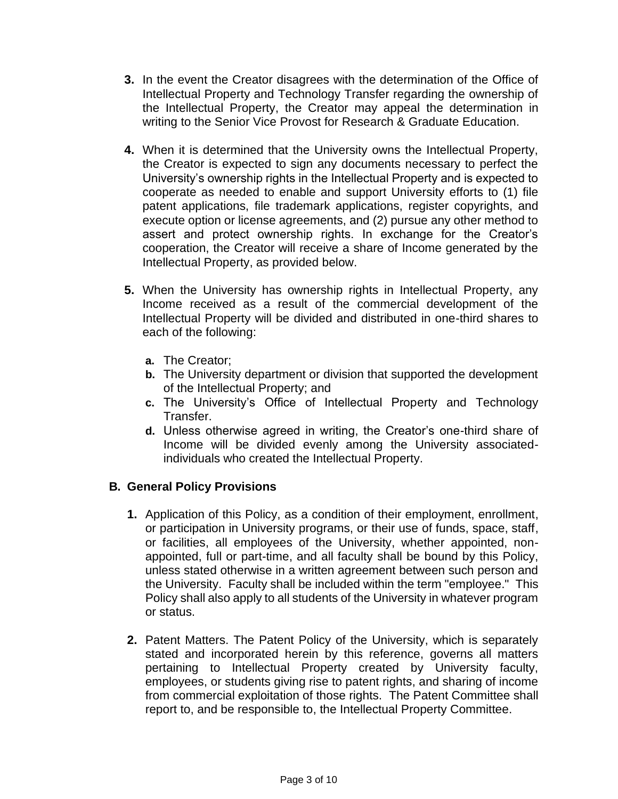- **3.** In the event the Creator disagrees with the determination of the Office of Intellectual Property and Technology Transfer regarding the ownership of the Intellectual Property, the Creator may appeal the determination in writing to the Senior Vice Provost for Research & Graduate Education.
- **4.** When it is determined that the University owns the Intellectual Property, the Creator is expected to sign any documents necessary to perfect the University's ownership rights in the Intellectual Property and is expected to cooperate as needed to enable and support University efforts to (1) file patent applications, file trademark applications, register copyrights, and execute option or license agreements, and (2) pursue any other method to assert and protect ownership rights. In exchange for the Creator's cooperation, the Creator will receive a share of Income generated by the Intellectual Property, as provided below.
- **5.** When the University has ownership rights in Intellectual Property, any Income received as a result of the commercial development of the Intellectual Property will be divided and distributed in one-third shares to each of the following:
	- **a.** The Creator;
	- **b.** The University department or division that supported the development of the Intellectual Property; and
	- **c.** The University's Office of Intellectual Property and Technology Transfer.
	- **d.** Unless otherwise agreed in writing, the Creator's one-third share of Income will be divided evenly among the University associatedindividuals who created the Intellectual Property.

# **B. General Policy Provisions**

- **1.** Application of this Policy, as a condition of their employment, enrollment, or participation in University programs, or their use of funds, space, staff, or facilities, all employees of the University, whether appointed, nonappointed, full or part-time, and all faculty shall be bound by this Policy, unless stated otherwise in a written agreement between such person and the University. Faculty shall be included within the term "employee." This Policy shall also apply to all students of the University in whatever program or status.
- **2.** Patent Matters. The Patent Policy of the University, which is separately stated and incorporated herein by this reference, governs all matters pertaining to Intellectual Property created by University faculty, employees, or students giving rise to patent rights, and sharing of income from commercial exploitation of those rights. The Patent Committee shall report to, and be responsible to, the Intellectual Property Committee.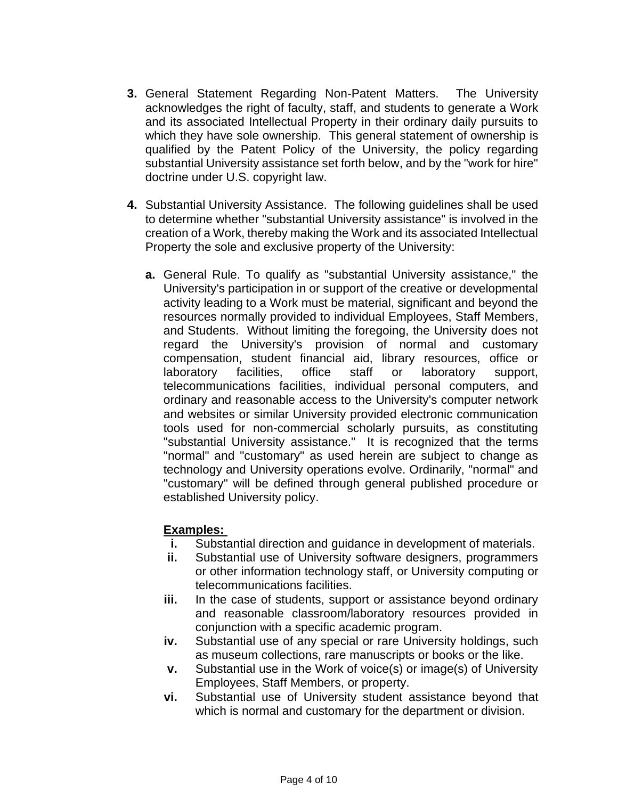- **3.** General Statement Regarding Non-Patent Matters. The University acknowledges the right of faculty, staff, and students to generate a Work and its associated Intellectual Property in their ordinary daily pursuits to which they have sole ownership. This general statement of ownership is qualified by the Patent Policy of the University, the policy regarding substantial University assistance set forth below, and by the "work for hire" doctrine under U.S. copyright law.
- **4.** Substantial University Assistance. The following guidelines shall be used to determine whether "substantial University assistance" is involved in the creation of a Work, thereby making the Work and its associated Intellectual Property the sole and exclusive property of the University:
	- **a.** General Rule. To qualify as "substantial University assistance," the University's participation in or support of the creative or developmental activity leading to a Work must be material, significant and beyond the resources normally provided to individual Employees, Staff Members, and Students. Without limiting the foregoing, the University does not regard the University's provision of normal and customary compensation, student financial aid, library resources, office or laboratory facilities, office staff or laboratory support, telecommunications facilities, individual personal computers, and ordinary and reasonable access to the University's computer network and websites or similar University provided electronic communication tools used for non-commercial scholarly pursuits, as constituting "substantial University assistance." It is recognized that the terms "normal" and "customary" as used herein are subject to change as technology and University operations evolve. Ordinarily, "normal" and "customary" will be defined through general published procedure or established University policy.

### **Examples:**

- **i.** Substantial direction and guidance in development of materials.
- **ii.** Substantial use of University software designers, programmers or other information technology staff, or University computing or telecommunications facilities.
- iii. In the case of students, support or assistance beyond ordinary and reasonable classroom/laboratory resources provided in conjunction with a specific academic program.
- **iv.** Substantial use of any special or rare University holdings, such as museum collections, rare manuscripts or books or the like.
- **v.** Substantial use in the Work of voice(s) or image(s) of University Employees, Staff Members, or property.
- **vi.** Substantial use of University student assistance beyond that which is normal and customary for the department or division.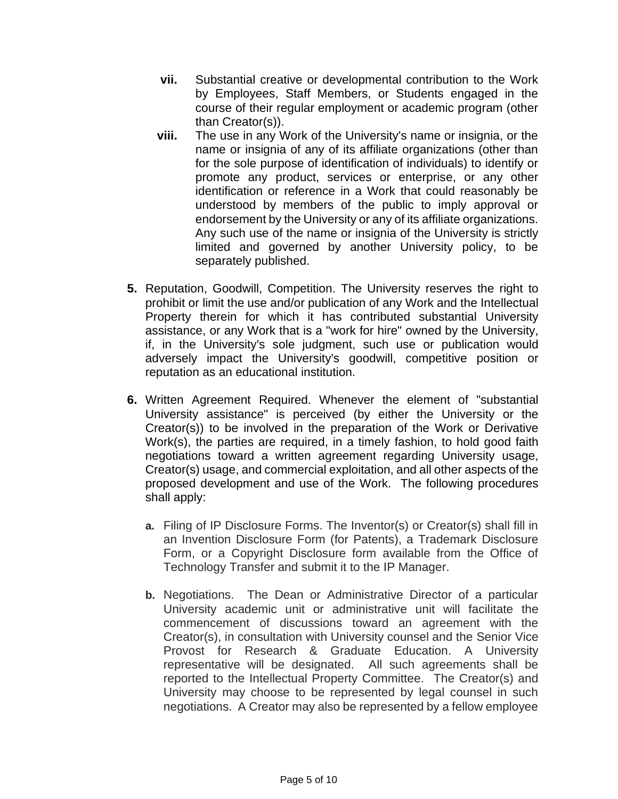- **vii.** Substantial creative or developmental contribution to the Work by Employees, Staff Members, or Students engaged in the course of their regular employment or academic program (other than Creator(s)).
- **viii.** The use in any Work of the University's name or insignia, or the name or insignia of any of its affiliate organizations (other than for the sole purpose of identification of individuals) to identify or promote any product, services or enterprise, or any other identification or reference in a Work that could reasonably be understood by members of the public to imply approval or endorsement by the University or any of its affiliate organizations. Any such use of the name or insignia of the University is strictly limited and governed by another University policy, to be separately published.
- **5.** Reputation, Goodwill, Competition. The University reserves the right to prohibit or limit the use and/or publication of any Work and the Intellectual Property therein for which it has contributed substantial University assistance, or any Work that is a "work for hire" owned by the University, if, in the University's sole judgment, such use or publication would adversely impact the University's goodwill, competitive position or reputation as an educational institution.
- **6.** Written Agreement Required. Whenever the element of "substantial University assistance" is perceived (by either the University or the Creator(s)) to be involved in the preparation of the Work or Derivative Work(s), the parties are required, in a timely fashion, to hold good faith negotiations toward a written agreement regarding University usage, Creator(s) usage, and commercial exploitation, and all other aspects of the proposed development and use of the Work. The following procedures shall apply:
	- **a.** Filing of IP Disclosure Forms. The Inventor(s) or Creator(s) shall fill in an Invention Disclosure Form (for Patents), a Trademark Disclosure Form, or a Copyright Disclosure form available from the Office of Technology Transfer and submit it to the IP Manager.
	- **b.** Negotiations. The Dean or Administrative Director of a particular University academic unit or administrative unit will facilitate the commencement of discussions toward an agreement with the Creator(s), in consultation with University counsel and the Senior Vice Provost for Research & Graduate Education. A University representative will be designated. All such agreements shall be reported to the Intellectual Property Committee. The Creator(s) and University may choose to be represented by legal counsel in such negotiations. A Creator may also be represented by a fellow employee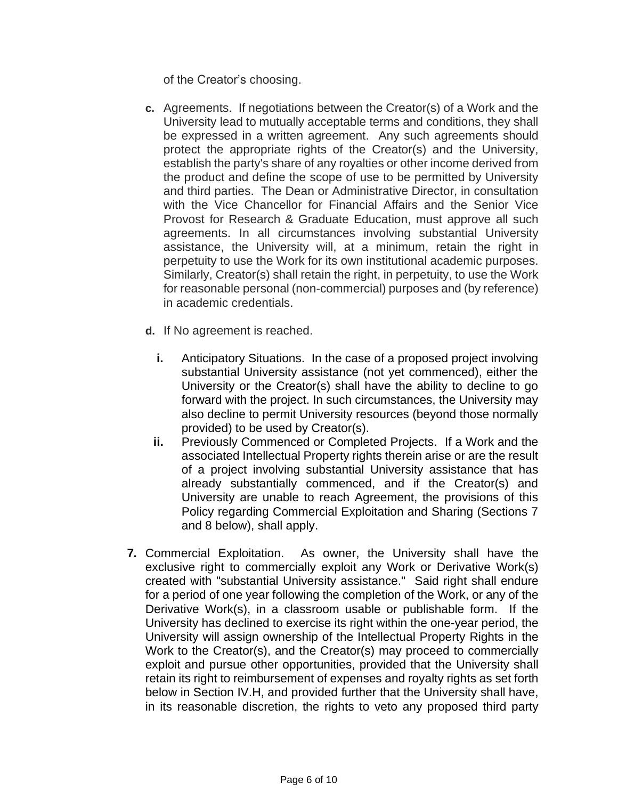of the Creator's choosing.

- **c.** Agreements. If negotiations between the Creator(s) of a Work and the University lead to mutually acceptable terms and conditions, they shall be expressed in a written agreement. Any such agreements should protect the appropriate rights of the Creator(s) and the University, establish the party's share of any royalties or other income derived from the product and define the scope of use to be permitted by University and third parties. The Dean or Administrative Director, in consultation with the Vice Chancellor for Financial Affairs and the Senior Vice Provost for Research & Graduate Education, must approve all such agreements. In all circumstances involving substantial University assistance, the University will, at a minimum, retain the right in perpetuity to use the Work for its own institutional academic purposes. Similarly, Creator(s) shall retain the right, in perpetuity, to use the Work for reasonable personal (non-commercial) purposes and (by reference) in academic credentials.
- **d.** If No agreement is reached.
	- **i.** Anticipatory Situations. In the case of a proposed project involving substantial University assistance (not yet commenced), either the University or the Creator(s) shall have the ability to decline to go forward with the project. In such circumstances, the University may also decline to permit University resources (beyond those normally provided) to be used by Creator(s).
	- **ii.** Previously Commenced or Completed Projects. If a Work and the associated Intellectual Property rights therein arise or are the result of a project involving substantial University assistance that has already substantially commenced, and if the Creator(s) and University are unable to reach Agreement, the provisions of this Policy regarding Commercial Exploitation and Sharing (Sections 7 and 8 below), shall apply.
- **7.** Commercial Exploitation. As owner, the University shall have the exclusive right to commercially exploit any Work or Derivative Work(s) created with "substantial University assistance." Said right shall endure for a period of one year following the completion of the Work, or any of the Derivative Work(s), in a classroom usable or publishable form. If the University has declined to exercise its right within the one-year period, the University will assign ownership of the Intellectual Property Rights in the Work to the Creator(s), and the Creator(s) may proceed to commercially exploit and pursue other opportunities, provided that the University shall retain its right to reimbursement of expenses and royalty rights as set forth below in Section IV.H, and provided further that the University shall have, in its reasonable discretion, the rights to veto any proposed third party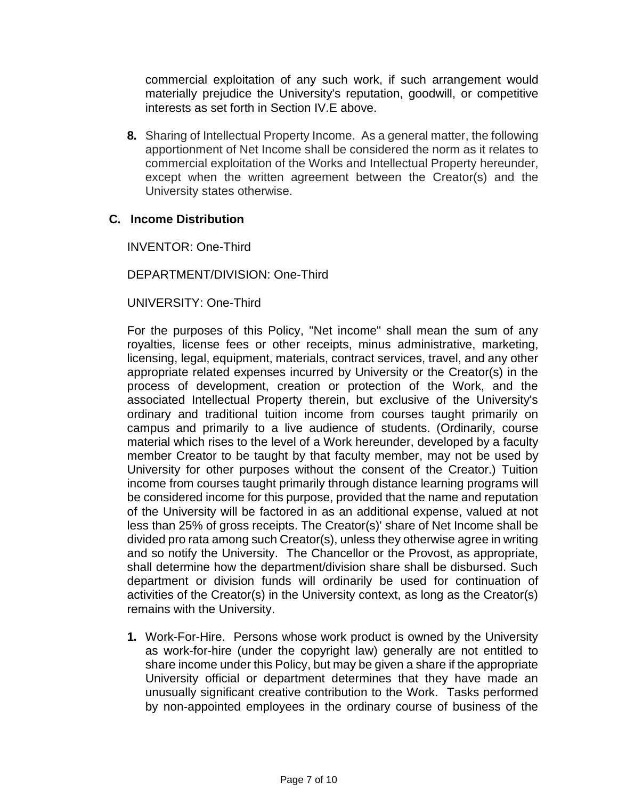commercial exploitation of any such work, if such arrangement would materially prejudice the University's reputation, goodwill, or competitive interests as set forth in Section IV.E above.

**8.** Sharing of Intellectual Property Income. As a general matter, the following apportionment of Net Income shall be considered the norm as it relates to commercial exploitation of the Works and Intellectual Property hereunder, except when the written agreement between the Creator(s) and the University states otherwise.

### **C. Income Distribution**

INVENTOR: One-Third

DEPARTMENT/DIVISION: One-Third

UNIVERSITY: One-Third

For the purposes of this Policy, "Net income" shall mean the sum of any royalties, license fees or other receipts, minus administrative, marketing, licensing, legal, equipment, materials, contract services, travel, and any other appropriate related expenses incurred by University or the Creator(s) in the process of development, creation or protection of the Work, and the associated Intellectual Property therein, but exclusive of the University's ordinary and traditional tuition income from courses taught primarily on campus and primarily to a live audience of students. (Ordinarily, course material which rises to the level of a Work hereunder, developed by a faculty member Creator to be taught by that faculty member, may not be used by University for other purposes without the consent of the Creator.) Tuition income from courses taught primarily through distance learning programs will be considered income for this purpose, provided that the name and reputation of the University will be factored in as an additional expense, valued at not less than 25% of gross receipts. The Creator(s)' share of Net Income shall be divided pro rata among such Creator(s), unless they otherwise agree in writing and so notify the University. The Chancellor or the Provost, as appropriate, shall determine how the department/division share shall be disbursed. Such department or division funds will ordinarily be used for continuation of activities of the Creator(s) in the University context, as long as the Creator(s) remains with the University.

**1.** Work-For-Hire. Persons whose work product is owned by the University as work-for-hire (under the copyright law) generally are not entitled to share income under this Policy, but may be given a share if the appropriate University official or department determines that they have made an unusually significant creative contribution to the Work. Tasks performed by non-appointed employees in the ordinary course of business of the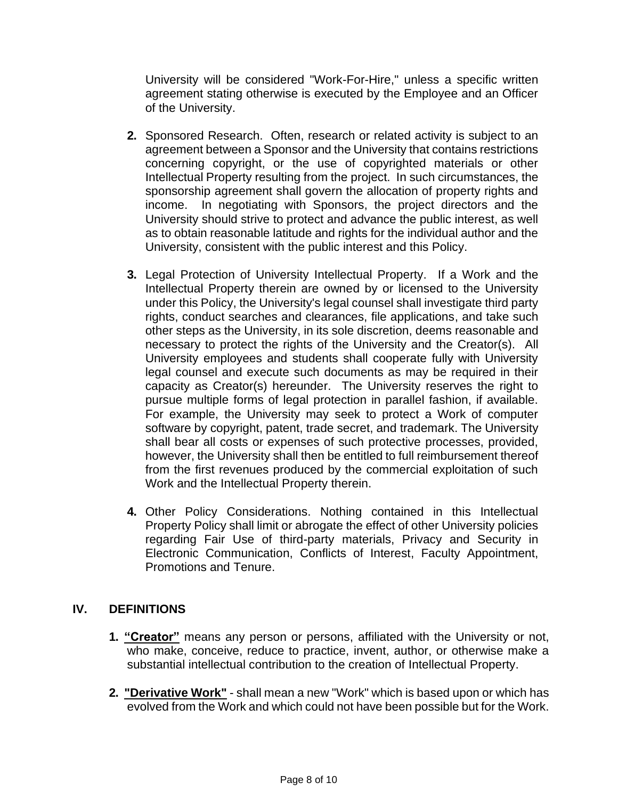University will be considered "Work-For-Hire," unless a specific written agreement stating otherwise is executed by the Employee and an Officer of the University.

- **2.** Sponsored Research. Often, research or related activity is subject to an agreement between a Sponsor and the University that contains restrictions concerning copyright, or the use of copyrighted materials or other Intellectual Property resulting from the project. In such circumstances, the sponsorship agreement shall govern the allocation of property rights and income. In negotiating with Sponsors, the project directors and the University should strive to protect and advance the public interest, as well as to obtain reasonable latitude and rights for the individual author and the University, consistent with the public interest and this Policy.
- **3.** Legal Protection of University Intellectual Property. If a Work and the Intellectual Property therein are owned by or licensed to the University under this Policy, the University's legal counsel shall investigate third party rights, conduct searches and clearances, file applications, and take such other steps as the University, in its sole discretion, deems reasonable and necessary to protect the rights of the University and the Creator(s). All University employees and students shall cooperate fully with University legal counsel and execute such documents as may be required in their capacity as Creator(s) hereunder. The University reserves the right to pursue multiple forms of legal protection in parallel fashion, if available. For example, the University may seek to protect a Work of computer software by copyright, patent, trade secret, and trademark. The University shall bear all costs or expenses of such protective processes, provided, however, the University shall then be entitled to full reimbursement thereof from the first revenues produced by the commercial exploitation of such Work and the Intellectual Property therein.
- **4.** Other Policy Considerations. Nothing contained in this Intellectual Property Policy shall limit or abrogate the effect of other University policies regarding Fair Use of third-party materials, Privacy and Security in Electronic Communication, Conflicts of Interest, Faculty Appointment, Promotions and Tenure.

# **IV. DEFINITIONS**

- **1. "Creator"** means any person or persons, affiliated with the University or not, who make, conceive, reduce to practice, invent, author, or otherwise make a substantial intellectual contribution to the creation of Intellectual Property.
- **2. "Derivative Work"** shall mean a new "Work" which is based upon or which has evolved from the Work and which could not have been possible but for the Work.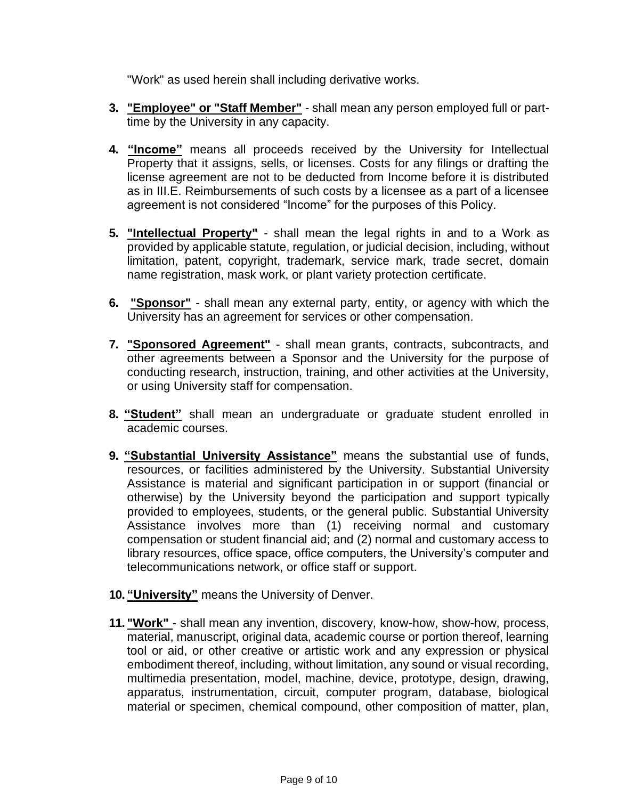"Work" as used herein shall including derivative works.

- **3. "Employee" or "Staff Member"** shall mean any person employed full or parttime by the University in any capacity.
- **4. "Income"** means all proceeds received by the University for Intellectual Property that it assigns, sells, or licenses. Costs for any filings or drafting the license agreement are not to be deducted from Income before it is distributed as in III.E. Reimbursements of such costs by a licensee as a part of a licensee agreement is not considered "Income" for the purposes of this Policy.
- **5. "Intellectual Property"** shall mean the legal rights in and to a Work as provided by applicable statute, regulation, or judicial decision, including, without limitation, patent, copyright, trademark, service mark, trade secret, domain name registration, mask work, or plant variety protection certificate.
- **6. "Sponsor"** shall mean any external party, entity, or agency with which the University has an agreement for services or other compensation.
- **7. "Sponsored Agreement"** shall mean grants, contracts, subcontracts, and other agreements between a Sponsor and the University for the purpose of conducting research, instruction, training, and other activities at the University, or using University staff for compensation.
- **8. "Student"** shall mean an undergraduate or graduate student enrolled in academic courses.
- **9. "Substantial University Assistance"** means the substantial use of funds, resources, or facilities administered by the University. Substantial University Assistance is material and significant participation in or support (financial or otherwise) by the University beyond the participation and support typically provided to employees, students, or the general public. Substantial University Assistance involves more than (1) receiving normal and customary compensation or student financial aid; and (2) normal and customary access to library resources, office space, office computers, the University's computer and telecommunications network, or office staff or support.
- **10. "University"** means the University of Denver.
- **11. "Work"** shall mean any invention, discovery, know-how, show-how, process, material, manuscript, original data, academic course or portion thereof, learning tool or aid, or other creative or artistic work and any expression or physical embodiment thereof, including, without limitation, any sound or visual recording, multimedia presentation, model, machine, device, prototype, design, drawing, apparatus, instrumentation, circuit, computer program, database, biological material or specimen, chemical compound, other composition of matter, plan,